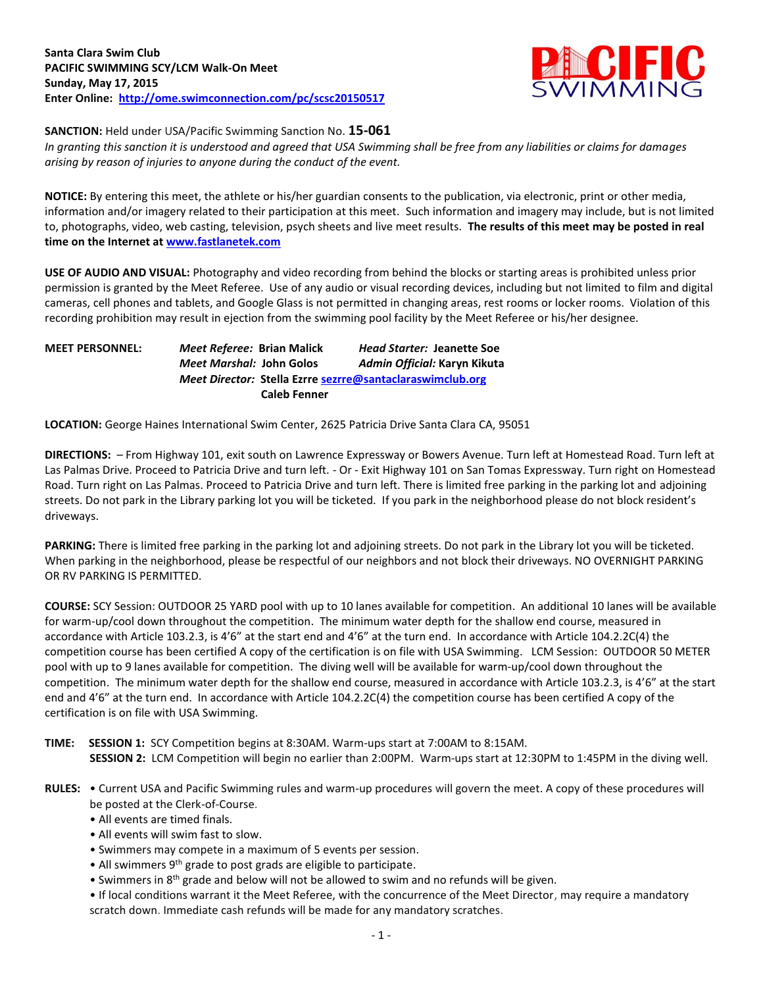

**SANCTION:** Held under USA/Pacific Swimming Sanction No. **15-061**

*In granting this sanction it is understood and agreed that USA Swimming shall be free from any liabilities or claims for damages arising by reason of injuries to anyone during the conduct of the event.*

**NOTICE:** By entering this meet, the athlete or his/her guardian consents to the publication, via electronic, print or other media, information and/or imagery related to their participation at this meet. Such information and imagery may include, but is not limited to, photographs, video, web casting, television, psych sheets and live meet results. **The results of this meet may be posted in real time on the Internet a[t www.fastlanetek.com](http://www.fastlanetek.com/)**

**USE OF AUDIO AND VISUAL:** Photography and video recording from behind the blocks or starting areas is prohibited unless prior permission is granted by the Meet Referee. Use of any audio or visual recording devices, including but not limited to film and digital cameras, cell phones and tablets, and Google Glass is not permitted in changing areas, rest rooms or locker rooms. Violation of this recording prohibition may result in ejection from the swimming pool facility by the Meet Referee or his/her designee.

| <b>MEET PERSONNEL:</b> | Meet Referee: Brian Malick                                | <b>Head Starter: Jeanette Soe</b> |  |  |  |
|------------------------|-----------------------------------------------------------|-----------------------------------|--|--|--|
|                        | <i>Meet Marshal:</i> John Golos                           | Admin Official: Karyn Kikuta      |  |  |  |
|                        | Meet Director: Stella Ezrre sezrre@santaclaraswimclub.org |                                   |  |  |  |
|                        | <b>Caleb Fenner</b>                                       |                                   |  |  |  |

**LOCATION:** George Haines International Swim Center, 2625 Patricia Drive Santa Clara CA, 95051

**DIRECTIONS:** – From Highway 101, exit south on Lawrence Expressway or Bowers Avenue. Turn left at Homestead Road. Turn left at Las Palmas Drive. Proceed to Patricia Drive and turn left. - Or - Exit Highway 101 on San Tomas Expressway. Turn right on Homestead Road. Turn right on Las Palmas. Proceed to Patricia Drive and turn left. There is limited free parking in the parking lot and adjoining streets. Do not park in the Library parking lot you will be ticketed. If you park in the neighborhood please do not block resident's driveways.

**PARKING:** There is limited free parking in the parking lot and adjoining streets. Do not park in the Library lot you will be ticketed. When parking in the neighborhood, please be respectful of our neighbors and not block their driveways. NO OVERNIGHT PARKING OR RV PARKING IS PERMITTED.

**COURSE:** SCY Session: OUTDOOR 25 YARD pool with up to 10 lanes available for competition. An additional 10 lanes will be available for warm-up/cool down throughout the competition. The minimum water depth for the shallow end course, measured in accordance with Article 103.2.3, is 4'6" at the start end and 4'6" at the turn end. In accordance with Article 104.2.2C(4) the competition course has been certified A copy of the certification is on file with USA Swimming. LCM Session: OUTDOOR 50 METER pool with up to 9 lanes available for competition. The diving well will be available for warm-up/cool down throughout the competition. The minimum water depth for the shallow end course, measured in accordance with Article 103.2.3, is 4'6" at the start end and 4'6" at the turn end. In accordance with Article 104.2.2C(4) the competition course has been certified A copy of the certification is on file with USA Swimming.

- **TIME: SESSION 1:** SCY Competition begins at 8:30AM. Warm-ups start at 7:00AM to 8:15AM. **SESSION 2:** LCM Competition will begin no earlier than 2:00PM. Warm-ups start at 12:30PM to 1:45PM in the diving well.
- **RULES:** Current USA and Pacific Swimming rules and warm-up procedures will govern the meet. A copy of these procedures will be posted at the Clerk-of-Course.
	- All events are timed finals.
	- All events will swim fast to slow.
	- Swimmers may compete in a maximum of 5 events per session.
	- All swimmers 9<sup>th</sup> grade to post grads are eligible to participate.
	- Swimmers in 8<sup>th</sup> grade and below will not be allowed to swim and no refunds will be given.
	- If local conditions warrant it the Meet Referee, with the concurrence of the Meet Director, may require a mandatory scratch down. Immediate cash refunds will be made for any mandatory scratches.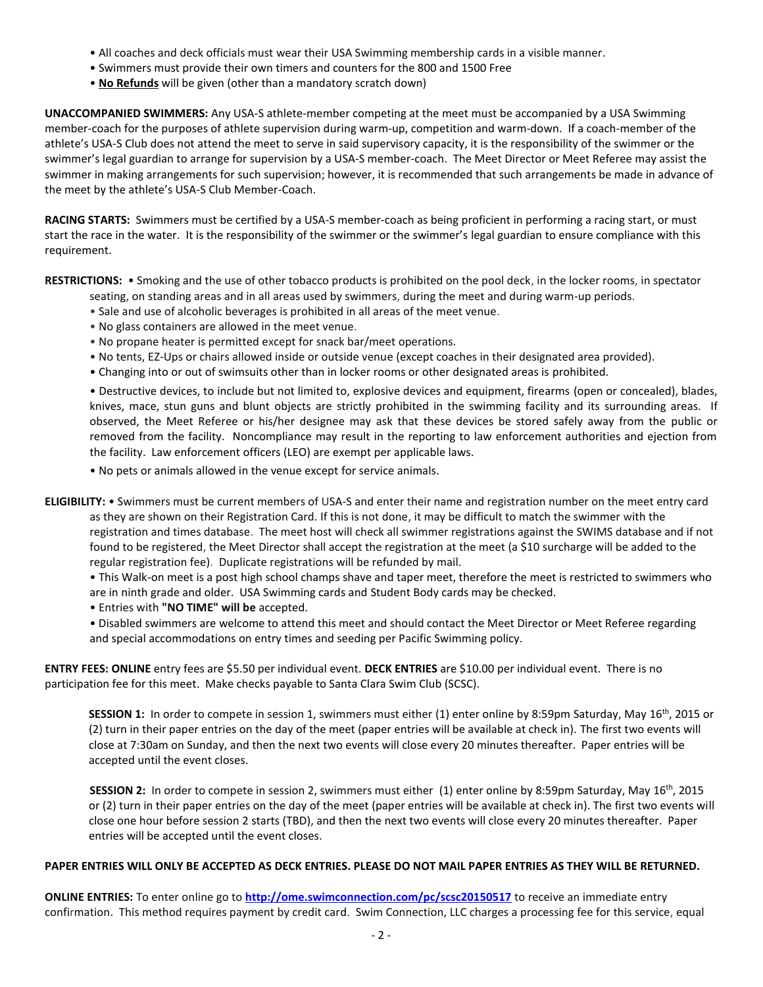- All coaches and deck officials must wear their USA Swimming membership cards in a visible manner.
- Swimmers must provide their own timers and counters for the 800 and 1500 Free
- **No Refunds** will be given (other than a mandatory scratch down)

**UNACCOMPANIED SWIMMERS:** Any USA-S athlete-member competing at the meet must be accompanied by a USA Swimming member-coach for the purposes of athlete supervision during warm-up, competition and warm-down. If a coach-member of the athlete's USA-S Club does not attend the meet to serve in said supervisory capacity, it is the responsibility of the swimmer or the swimmer's legal guardian to arrange for supervision by a USA-S member-coach. The Meet Director or Meet Referee may assist the swimmer in making arrangements for such supervision; however, it is recommended that such arrangements be made in advance of the meet by the athlete's USA-S Club Member-Coach.

**RACING STARTS:** Swimmers must be certified by a USA-S member-coach as being proficient in performing a racing start, or must start the race in the water. It is the responsibility of the swimmer or the swimmer's legal guardian to ensure compliance with this requirement.

**RESTRICTIONS:** • Smoking and the use of other tobacco products is prohibited on the pool deck, in the locker rooms, in spectator seating, on standing areas and in all areas used by swimmers, during the meet and during warm-up periods.

- Sale and use of alcoholic beverages is prohibited in all areas of the meet venue.
- No glass containers are allowed in the meet venue.
- No propane heater is permitted except for snack bar/meet operations.
- No tents, EZ-Ups or chairs allowed inside or outside venue (except coaches in their designated area provided).
- Changing into or out of swimsuits other than in locker rooms or other designated areas is prohibited.

• Destructive devices, to include but not limited to, explosive devices and equipment, firearms (open or concealed), blades, knives, mace, stun guns and blunt objects are strictly prohibited in the swimming facility and its surrounding areas. If observed, the Meet Referee or his/her designee may ask that these devices be stored safely away from the public or removed from the facility. Noncompliance may result in the reporting to law enforcement authorities and ejection from the facility. Law enforcement officers (LEO) are exempt per applicable laws.

• No pets or animals allowed in the venue except for service animals.

**ELIGIBILITY:** • Swimmers must be current members of USA-S and enter their name and registration number on the meet entry card as they are shown on their Registration Card. If this is not done, it may be difficult to match the swimmer with the registration and times database. The meet host will check all swimmer registrations against the SWIMS database and if not found to be registered, the Meet Director shall accept the registration at the meet (a \$10 surcharge will be added to the regular registration fee). Duplicate registrations will be refunded by mail.

• This Walk-on meet is a post high school champs shave and taper meet, therefore the meet is restricted to swimmers who are in ninth grade and older. USA Swimming cards and Student Body cards may be checked.

• Entries with **"NO TIME" will be** accepted.

• Disabled swimmers are welcome to attend this meet and should contact the Meet Director or Meet Referee regarding and special accommodations on entry times and seeding per Pacific Swimming policy.

**ENTRY FEES: ONLINE** entry fees are \$5.50 per individual event. **DECK ENTRIES** are \$10.00 per individual event. There is no participation fee for this meet. Make checks payable to Santa Clara Swim Club (SCSC).

SESSION 1: In order to compete in session 1, swimmers must either (1) enter online by 8:59pm Saturday, May 16<sup>th</sup>, 2015 or (2) turn in their paper entries on the day of the meet (paper entries will be available at check in). The first two events will close at 7:30am on Sunday, and then the next two events will close every 20 minutes thereafter. Paper entries will be accepted until the event closes.

**SESSION 2:** In order to compete in session 2, swimmers must either (1) enter online by 8:59pm Saturday, May 16<sup>th</sup>, 2015 or (2) turn in their paper entries on the day of the meet (paper entries will be available at check in). The first two events will close one hour before session 2 starts (TBD), and then the next two events will close every 20 minutes thereafter. Paper entries will be accepted until the event closes.

## **PAPER ENTRIES WILL ONLY BE ACCEPTED AS DECK ENTRIES. PLEASE DO NOT MAIL PAPER ENTRIES AS THEY WILL BE RETURNED.**

**ONLINE ENTRIES:** To enter online go to **<http://ome.swimconnection.com/pc/scsc20150517>** to receive an immediate entry confirmation. This method requires payment by credit card. Swim Connection, LLC charges a processing fee for this service, equal